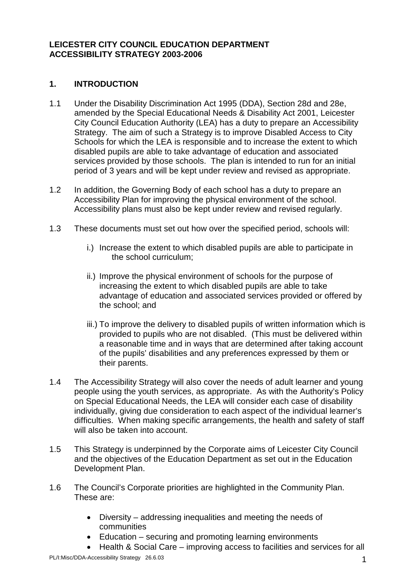### **LEICESTER CITY COUNCIL EDUCATION DEPARTMENT ACCESSIBILITY STRATEGY 2003-2006**

## **1. INTRODUCTION**

- 1.1 Under the Disability Discrimination Act 1995 (DDA), Section 28d and 28e, amended by the Special Educational Needs & Disability Act 2001, Leicester City Council Education Authority (LEA) has a duty to prepare an Accessibility Strategy. The aim of such a Strategy is to improve Disabled Access to City Schools for which the LEA is responsible and to increase the extent to which disabled pupils are able to take advantage of education and associated services provided by those schools. The plan is intended to run for an initial period of 3 years and will be kept under review and revised as appropriate.
- 1.2 In addition, the Governing Body of each school has a duty to prepare an Accessibility Plan for improving the physical environment of the school. Accessibility plans must also be kept under review and revised regularly.
- 1.3 These documents must set out how over the specified period, schools will:
	- i.) Increase the extent to which disabled pupils are able to participate in the school curriculum;
	- ii.) Improve the physical environment of schools for the purpose of increasing the extent to which disabled pupils are able to take advantage of education and associated services provided or offered by the school; and
	- iii.) To improve the delivery to disabled pupils of written information which is provided to pupils who are not disabled. (This must be delivered within a reasonable time and in ways that are determined after taking account of the pupils' disabilities and any preferences expressed by them or their parents.
- 1.4 The Accessibility Strategy will also cover the needs of adult learner and young people using the youth services, as appropriate. As with the Authority's Policy on Special Educational Needs, the LEA will consider each case of disability individually, giving due consideration to each aspect of the individual learner's difficulties. When making specific arrangements, the health and safety of staff will also be taken into account.
- 1.5 This Strategy is underpinned by the Corporate aims of Leicester City Council and the objectives of the Education Department as set out in the Education Development Plan.
- 1.6 The Council's Corporate priorities are highlighted in the Community Plan. These are:
	- Diversity addressing inequalities and meeting the needs of communities
	- Education securing and promoting learning environments
	- Health & Social Care improving access to facilities and services for all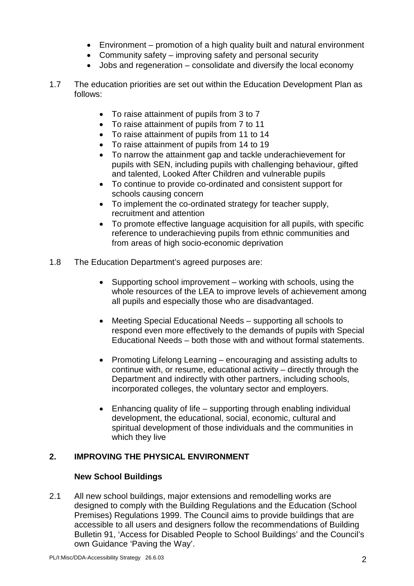- Environment promotion of a high quality built and natural environment
- Community safety improving safety and personal security
- Jobs and regeneration consolidate and diversify the local economy
- 1.7 The education priorities are set out within the Education Development Plan as follows:
	- To raise attainment of pupils from 3 to 7
	- To raise attainment of pupils from 7 to 11
	- To raise attainment of pupils from 11 to 14
	- To raise attainment of pupils from 14 to 19
	- To narrow the attainment gap and tackle underachievement for pupils with SEN, including pupils with challenging behaviour, gifted and talented, Looked After Children and vulnerable pupils
	- To continue to provide co-ordinated and consistent support for schools causing concern
	- To implement the co-ordinated strategy for teacher supply, recruitment and attention
	- To promote effective language acquisition for all pupils, with specific reference to underachieving pupils from ethnic communities and from areas of high socio-economic deprivation
- 1.8 The Education Department's agreed purposes are:
	- Supporting school improvement working with schools, using the whole resources of the LEA to improve levels of achievement among all pupils and especially those who are disadvantaged.
	- Meeting Special Educational Needs supporting all schools to respond even more effectively to the demands of pupils with Special Educational Needs – both those with and without formal statements.
	- Promoting Lifelong Learning encouraging and assisting adults to continue with, or resume, educational activity – directly through the Department and indirectly with other partners, including schools, incorporated colleges, the voluntary sector and employers.
	- Enhancing quality of life supporting through enabling individual development, the educational, social, economic, cultural and spiritual development of those individuals and the communities in which they live

## **2. IMPROVING THE PHYSICAL ENVIRONMENT**

## **New School Buildings**

2.1 All new school buildings, major extensions and remodelling works are designed to comply with the Building Regulations and the Education (School Premises) Regulations 1999. The Council aims to provide buildings that are accessible to all users and designers follow the recommendations of Building Bulletin 91, 'Access for Disabled People to School Buildings' and the Council's own Guidance 'Paving the Way'.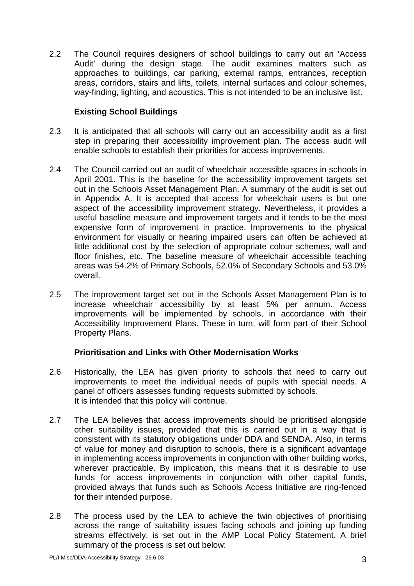2.2 The Council requires designers of school buildings to carry out an 'Access Audit' during the design stage. The audit examines matters such as approaches to buildings, car parking, external ramps, entrances, reception areas, corridors, stairs and lifts, toilets, internal surfaces and colour schemes, way-finding, lighting, and acoustics. This is not intended to be an inclusive list.

### **Existing School Buildings**

- 2.3 It is anticipated that all schools will carry out an accessibility audit as a first step in preparing their accessibility improvement plan. The access audit will enable schools to establish their priorities for access improvements.
- 2.4 The Council carried out an audit of wheelchair accessible spaces in schools in April 2001. This is the baseline for the accessibility improvement targets set out in the Schools Asset Management Plan. A summary of the audit is set out in Appendix A. It is accepted that access for wheelchair users is but one aspect of the accessibility improvement strategy. Nevertheless, it provides a useful baseline measure and improvement targets and it tends to be the most expensive form of improvement in practice. Improvements to the physical environment for visually or hearing impaired users can often be achieved at little additional cost by the selection of appropriate colour schemes, wall and floor finishes, etc. The baseline measure of wheelchair accessible teaching areas was 54.2% of Primary Schools, 52.0% of Secondary Schools and 53.0% overall.
- 2.5 The improvement target set out in the Schools Asset Management Plan is to increase wheelchair accessibility by at least 5% per annum. Access improvements will be implemented by schools, in accordance with their Accessibility Improvement Plans. These in turn, will form part of their School Property Plans.

## **Prioritisation and Links with Other Modernisation Works**

- 2.6 Historically, the LEA has given priority to schools that need to carry out improvements to meet the individual needs of pupils with special needs. A panel of officers assesses funding requests submitted by schools. It is intended that this policy will continue.
- 2.7 The LEA believes that access improvements should be prioritised alongside other suitability issues, provided that this is carried out in a way that is consistent with its statutory obligations under DDA and SENDA. Also, in terms of value for money and disruption to schools, there is a significant advantage in implementing access improvements in conjunction with other building works, wherever practicable. By implication, this means that it is desirable to use funds for access improvements in conjunction with other capital funds, provided always that funds such as Schools Access Initiative are ring-fenced for their intended purpose.
- 2.8 The process used by the LEA to achieve the twin objectives of prioritising across the range of suitability issues facing schools and joining up funding streams effectively, is set out in the AMP Local Policy Statement. A brief summary of the process is set out below: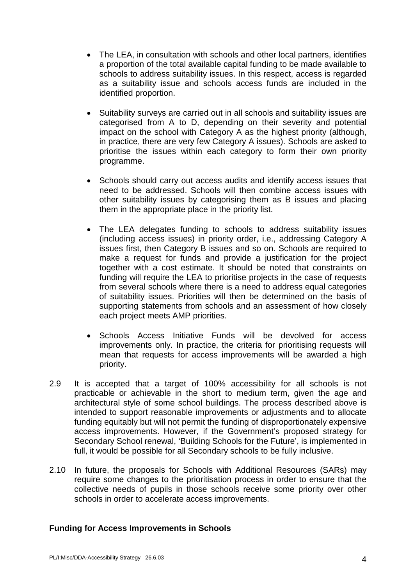- The LEA, in consultation with schools and other local partners, identifies a proportion of the total available capital funding to be made available to schools to address suitability issues. In this respect, access is regarded as a suitability issue and schools access funds are included in the identified proportion.
- Suitability surveys are carried out in all schools and suitability issues are categorised from A to D, depending on their severity and potential impact on the school with Category A as the highest priority (although, in practice, there are very few Category A issues). Schools are asked to prioritise the issues within each category to form their own priority programme.
- Schools should carry out access audits and identify access issues that need to be addressed. Schools will then combine access issues with other suitability issues by categorising them as B issues and placing them in the appropriate place in the priority list.
- The LEA delegates funding to schools to address suitability issues (including access issues) in priority order, i.e., addressing Category A issues first, then Category B issues and so on. Schools are required to make a request for funds and provide a justification for the project together with a cost estimate. It should be noted that constraints on funding will require the LEA to prioritise projects in the case of requests from several schools where there is a need to address equal categories of suitability issues. Priorities will then be determined on the basis of supporting statements from schools and an assessment of how closely each project meets AMP priorities.
- Schools Access Initiative Funds will be devolved for access improvements only. In practice, the criteria for prioritising requests will mean that requests for access improvements will be awarded a high priority.
- 2.9 It is accepted that a target of 100% accessibility for all schools is not practicable or achievable in the short to medium term, given the age and architectural style of some school buildings. The process described above is intended to support reasonable improvements or adjustments and to allocate funding equitably but will not permit the funding of disproportionately expensive access improvements. However, if the Government's proposed strategy for Secondary School renewal, 'Building Schools for the Future', is implemented in full, it would be possible for all Secondary schools to be fully inclusive.
- 2.10 In future, the proposals for Schools with Additional Resources (SARs) may require some changes to the prioritisation process in order to ensure that the collective needs of pupils in those schools receive some priority over other schools in order to accelerate access improvements.

### **Funding for Access Improvements in Schools**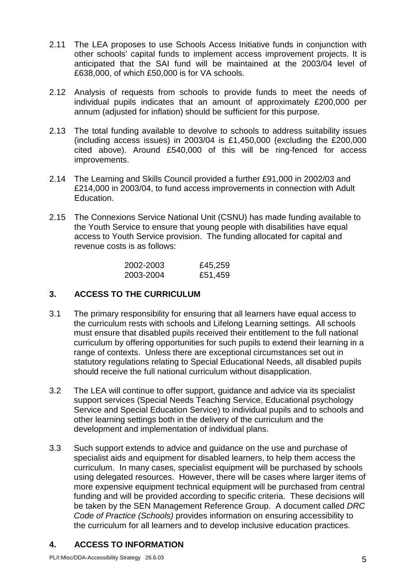- 2.11 The LEA proposes to use Schools Access Initiative funds in conjunction with other schools' capital funds to implement access improvement projects. It is anticipated that the SAI fund will be maintained at the 2003/04 level of £638,000, of which £50,000 is for VA schools.
- 2.12 Analysis of requests from schools to provide funds to meet the needs of individual pupils indicates that an amount of approximately £200,000 per annum (adjusted for inflation) should be sufficient for this purpose.
- 2.13 The total funding available to devolve to schools to address suitability issues (including access issues) in 2003/04 is £1,450,000 (excluding the £200,000 cited above). Around £540,000 of this will be ring-fenced for access improvements.
- 2.14 The Learning and Skills Council provided a further £91,000 in 2002/03 and £214,000 in 2003/04, to fund access improvements in connection with Adult Education.
- 2.15 The Connexions Service National Unit (CSNU) has made funding available to the Youth Service to ensure that young people with disabilities have equal access to Youth Service provision. The funding allocated for capital and revenue costs is as follows:

| 2002-2003 | £45,259 |
|-----------|---------|
| 2003-2004 | £51,459 |

## **3. ACCESS TO THE CURRICULUM**

- 3.1 The primary responsibility for ensuring that all learners have equal access to the curriculum rests with schools and Lifelong Learning settings. All schools must ensure that disabled pupils received their entitlement to the full national curriculum by offering opportunities for such pupils to extend their learning in a range of contexts. Unless there are exceptional circumstances set out in statutory regulations relating to Special Educational Needs, all disabled pupils should receive the full national curriculum without disapplication.
- 3.2 The LEA will continue to offer support, guidance and advice via its specialist support services (Special Needs Teaching Service, Educational psychology Service and Special Education Service) to individual pupils and to schools and other learning settings both in the delivery of the curriculum and the development and implementation of individual plans.
- 3.3 Such support extends to advice and guidance on the use and purchase of specialist aids and equipment for disabled learners, to help them access the curriculum. In many cases, specialist equipment will be purchased by schools using delegated resources. However, there will be cases where larger items of more expensive equipment technical equipment will be purchased from central funding and will be provided according to specific criteria. These decisions will be taken by the SEN Management Reference Group. A document called *DRC Code of Practice (Schools)* provides information on ensuring accessibility to the curriculum for all learners and to develop inclusive education practices.

# **4. ACCESS TO INFORMATION**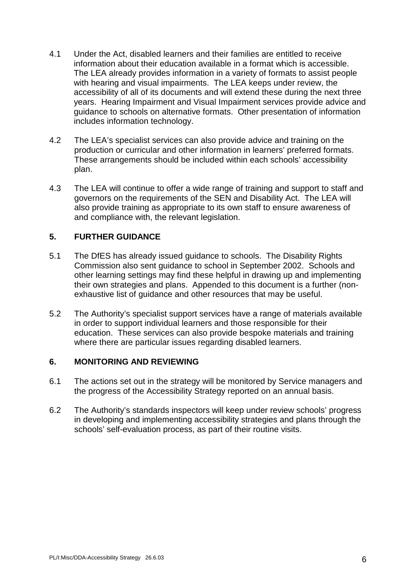- 4.1 Under the Act, disabled learners and their families are entitled to receive information about their education available in a format which is accessible. The LEA already provides information in a variety of formats to assist people with hearing and visual impairments. The LEA keeps under review, the accessibility of all of its documents and will extend these during the next three years. Hearing Impairment and Visual Impairment services provide advice and guidance to schools on alternative formats. Other presentation of information includes information technology.
- 4.2 The LEA's specialist services can also provide advice and training on the production or curricular and other information in learners' preferred formats. These arrangements should be included within each schools' accessibility plan.
- 4.3 The LEA will continue to offer a wide range of training and support to staff and governors on the requirements of the SEN and Disability Act. The LEA will also provide training as appropriate to its own staff to ensure awareness of and compliance with, the relevant legislation.

## **5. FURTHER GUIDANCE**

- 5.1 The DfES has already issued guidance to schools. The Disability Rights Commission also sent guidance to school in September 2002. Schools and other learning settings may find these helpful in drawing up and implementing their own strategies and plans. Appended to this document is a further (nonexhaustive list of guidance and other resources that may be useful.
- 5.2 The Authority's specialist support services have a range of materials available in order to support individual learners and those responsible for their education. These services can also provide bespoke materials and training where there are particular issues regarding disabled learners.

### **6. MONITORING AND REVIEWING**

- 6.1 The actions set out in the strategy will be monitored by Service managers and the progress of the Accessibility Strategy reported on an annual basis.
- 6.2 The Authority's standards inspectors will keep under review schools' progress in developing and implementing accessibility strategies and plans through the schools' self-evaluation process, as part of their routine visits.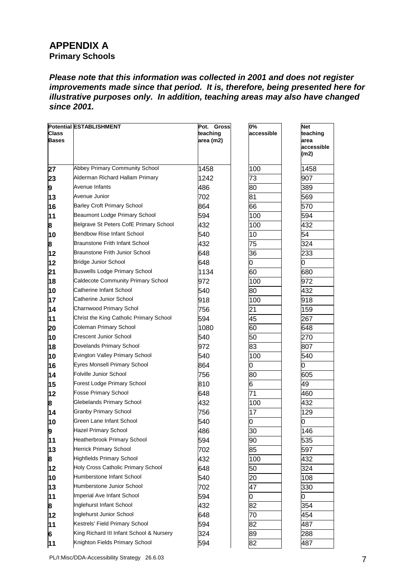# **APPENDIX A Primary Schools**

*Please note that this information was collected in 2001 and does not register improvements made since that period. It is, therefore, being presented here for illustrative purposes only. In addition, teaching areas may also have changed since 2001.*

| <b>Class</b><br><b>Bases</b> | <b>Potential ESTABLISHMENT</b>           | <b>Gross</b><br>Pot.<br>teaching<br>area (m2) | 0%<br>accessible | <b>Net</b><br>teaching<br>area<br>accessible<br>(m2) |
|------------------------------|------------------------------------------|-----------------------------------------------|------------------|------------------------------------------------------|
|                              | <b>Abbey Primary Community School</b>    |                                               |                  |                                                      |
| 27                           | Alderman Richard Hallam Primary          | 1458                                          | 100              | 1458                                                 |
| 23                           | Avenue Infants                           | 1242                                          | 73               | 907                                                  |
| 9                            | Avenue Junior                            | 486                                           | 80               | 389                                                  |
| 13                           |                                          | 702                                           | 81               | 569                                                  |
| 16                           | <b>Barley Croft Primary School</b>       | 864                                           | 66               | 570                                                  |
| 11                           | <b>Beaumont Lodge Primary School</b>     | 594                                           | 100              | 594                                                  |
| 8                            | Belgrave St Peters CofE Primary School   | 432                                           | 100              | 432                                                  |
| 10                           | Bendbow Rise Infant School               | 540                                           | 10               | $\overline{54}$                                      |
| 8                            | Braunstone Frith Infant School           | 432                                           | 75               | 324                                                  |
| 12                           | <b>Braunstone Frith Junior School</b>    | 648                                           | 36               | 233                                                  |
| 12                           | <b>Bridge Junior School</b>              | 648                                           | 0                | 0                                                    |
| 21                           | <b>Buswells Lodge Primary School</b>     | 1134                                          | 60               | 680                                                  |
| 18                           | Caldecote Community Primary School       | 972                                           | 100              | 972                                                  |
| 10                           | Catherine Infant School                  | 540                                           | 80               | 432                                                  |
| 17                           | Catherine Junior School                  | 918                                           | 100              | 918                                                  |
| 14                           | Charnwood Primary Schol                  | 756                                           | 21               | 159                                                  |
| 11                           | Christ the King Catholic Primary School  | 594                                           | 45               | 267                                                  |
| 20                           | Coleman Primary School                   | 1080                                          | 60               | 648                                                  |
| 10                           | Crescent Junior School                   | 540                                           | 50               | 270                                                  |
| 18                           | Dovelands Primary School                 | 972                                           | 83               | 807                                                  |
| 10                           | Evington Valley Primary School           | 540                                           | 100              | 540                                                  |
| 16                           | Eyres Monsell Primary School             | 864                                           | 0                | 0                                                    |
| 14                           | Folville Junior School                   | 756                                           | 80               | 605                                                  |
| 15                           | Forest Lodge Primary School              | 810                                           | 6                | 49                                                   |
| 12                           | <b>Fosse Primary School</b>              | 648                                           | 71               | 460                                                  |
| 8                            | Glebelands Primary School                | 432                                           | 100              | 432                                                  |
| 14                           | <b>Granby Primary School</b>             | 756                                           | 17               | 129                                                  |
| 10                           | Green Lane Infant School                 | 540                                           | 0                | 0                                                    |
| 9                            | <b>Hazel Primary School</b>              | 486                                           | 30               | 146                                                  |
| 11                           | <b>Heatherbrook Primary School</b>       | 594                                           | 90               | 535                                                  |
| 13                           | <b>Herrick Primary School</b>            | 702                                           | 85               | 597                                                  |
| 8                            | <b>Highfields Primary School</b>         | 432                                           | 100              | 432                                                  |
| 12                           | Holy Cross Catholic Primary School       | 648                                           | 50               | 324                                                  |
| 10                           | Humberstone Infant School                | 540                                           | 20               | 108                                                  |
| 13                           | Humberstone Junior School                | 702                                           | 47               | 330                                                  |
| 11                           | Imperial Ave Infant School               | 594                                           | 0                | Ю                                                    |
| 8                            | Inglehurst Infant School                 | 432                                           | 82               | 354                                                  |
| 12                           | Inglehurst Junior School                 | 648                                           | 70               | 454                                                  |
| 11                           | Kestrels' Field Primary School           | 594                                           | 82               | 487                                                  |
| 6                            | King Richard III Infant School & Nursery | 324                                           | 89               | 288                                                  |
| 11                           | Knighton Fields Primary School           | 594                                           | 82               | 487                                                  |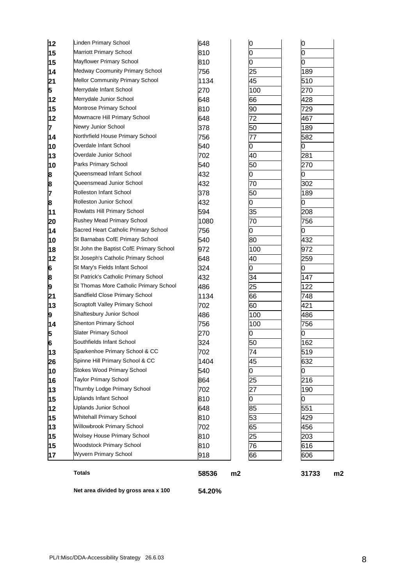|               | <b>Totals</b>                           | 58536 | m2 |     | 31733<br>m2 |
|---------------|-----------------------------------------|-------|----|-----|-------------|
|               |                                         |       |    |     |             |
| 17            | <b>Wyvern Primary School</b>            | 918   |    | 66  | 606         |
| 15            | <b>Woodstock Primary School</b>         | 810   |    | 76  | 616         |
| 15            | <b>Wolsey House Primary School</b>      | 810   |    | 25  | 203         |
| 13            | <b>Willowbrook Primary School</b>       | 702   |    | 65  | 456         |
| 15            | <b>Whitehall Primary School</b>         | 810   |    | 53  | 429         |
| 12            | <b>Uplands Junior School</b>            | 648   |    | 85  | 551         |
| 15            | <b>Uplands Infant School</b>            | 810   |    | 0   | Ю           |
| 13            | Thurnby Lodge Primary School            | 702   |    | 27  | 190         |
| 16            | <b>Taylor Primary School</b>            | 864   |    | 25  | 216         |
| 10            | <b>Stokes Wood Primary School</b>       | 540   |    | 0   | 0           |
| 26            | Spinne Hill Primary School & CC         | 1404  |    | 45  | 632         |
| 13            | Sparkenhoe Primary School & CC          | 702   |    | 74  | 519         |
| $\frac{5}{6}$ | Southfields Infant School               | 324   |    | 50  | 162         |
|               | <b>Slater Primary School</b>            | 270   |    | 0   | 0           |
| 14            | <b>Shenton Primary School</b>           | 756   |    | 100 | 756         |
| 9             | <b>Shaftesbury Junior School</b>        | 486   |    | 100 | 486         |
| 13            | Scraptoft Valley Primary School         | 702   |    | 60  | 421         |
| 21            | Sandfield Close Primary School          | 1134  |    | 66  | 748         |
| 9             | St Thomas More Catholic Primary School  | 486   |    | 25  | 122         |
| 6<br>8        | St Patrick's Catholic Primary School    | 432   |    | 34  | 147         |
|               | St Mary's Fields Infant School          | 324   |    | 0   | O           |
| 12            | St Joseph's Catholic Primary School     | 648   |    | 40  | 259         |
| 18            | St John the Baptist CofE Primary School | 972   |    | 100 | 972         |
| 10            | St Barnabas CofE Primary School         | 540   |    | 80  | 432         |
| 14            | Sacred Heart Catholic Primary School    | 756   |    | 0   | Ω           |
| 20            | Rushey Mead Primary School              | 1080  |    | 70  | 756         |
| 11            | Rowlatts Hill Primary School            | 594   |    | 35  | 208         |
| 8             | Rolleston Junior School                 | 432   |    | 0   | 0           |
| 7             | <b>Rolleston Infant School</b>          | 378   |    | 50  | 189         |
| 8             | Queensmead Junior School                | 432   |    | 70  | 302         |
| 8             | Queensmead Infant School                | 432   |    | 0   | 0           |
| 10            | Parks Primary School                    | 540   |    | 50  | 270         |
| 13            | Overdale Junior School                  | 702   |    | 40  | 281         |
| 10            | Overdale Infant School                  | 540   |    | 0   | 0           |
| 14            | Northrfield House Primary School        | 756   |    | 77  | 582         |
| 7             | Newry Junior School                     | 378   |    | 50  | 189         |
| 12            | Mowmacre Hill Primary School            | 648   |    | 72  | 467         |
| 15            | Montrose Primary School                 | 810   |    | 90  | 729         |
| 12            | Merrydale Junior School                 | 648   |    | 66  | 428         |
| 5             | Merrydale Infant School                 | 270   |    | 100 | 270         |
| 21            | <b>Mellor Community Primary School</b>  | 1134  |    | 45  | 510         |
| 14            | Medway Coomunity Primary School         | 756   |    | 25  | 189         |
| 15            | Mayflower Primary School                | 810   |    | 0   | 0           |
| 15            | Marriott Primary School                 | 810   |    | 0   | 0           |
| 12            | Linden Primary School                   | 648   |    | 0   | 0           |

**Net area divided by gross area x 100 54.20%**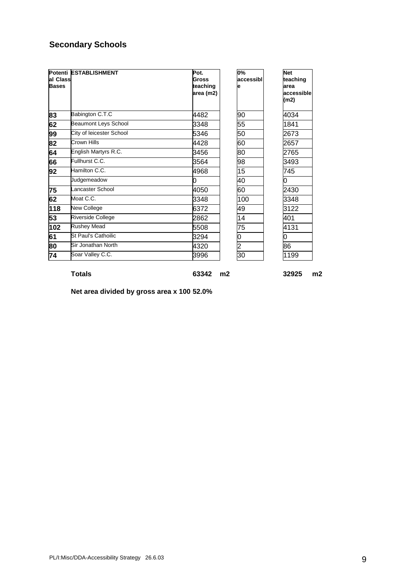# **Secondary Schools**

| al Class<br><b>Bases</b> | Potenti ESTABLISHMENT       | Pot.<br>Gross<br>teaching<br>area (m2) | 0%<br>accessibl<br>е | <b>Net</b><br>teaching<br>area<br>accessible<br>(m2) |
|--------------------------|-----------------------------|----------------------------------------|----------------------|------------------------------------------------------|
| 83                       | Babington C.T.C             | 4482                                   | 90                   | 4034                                                 |
| 62                       | <b>Beaumont Leys School</b> | 3348                                   | 55                   | 1841                                                 |
| 99                       | City of leicester School    | 5346                                   | 50                   | 2673                                                 |
| 82                       | Crown Hills                 | 4428                                   | 60                   | 2657                                                 |
| 64                       | English Martyrs R.C.        | 3456                                   | 80                   | 2765                                                 |
| 66                       | Fullhurst C.C.              | 3564                                   | 98                   | 3493                                                 |
| 92                       | Hamilton C.C.               | 4968                                   | 15                   | 745                                                  |
|                          | Judgemeadow                 | 0                                      | 40                   | 0                                                    |
| 75                       | Lancaster School            | 4050                                   | 60                   | 2430                                                 |
| 62                       | Moat C.C.                   | 3348                                   | 100                  | 3348                                                 |
| 118                      | New College                 | 6372                                   | 49                   | 3122                                                 |
| 53                       | Riverside College           | 2862                                   | 14                   | 401                                                  |
| 102                      | <b>Rushey Mead</b>          | 5508                                   | 75                   | 4131                                                 |
| 61                       | St Paul's Cathoilic         | 3294                                   | 0                    | 0                                                    |
| 80                       | Sir Jonathan North          | 4320                                   | $\overline{c}$       | 86                                                   |
| 74                       | Soar Valley C.C.            | 3996                                   | 30                   | 1199                                                 |

**Totals 63342 m2 32925 m2**

**Net area divided by gross area x 100 52.0%**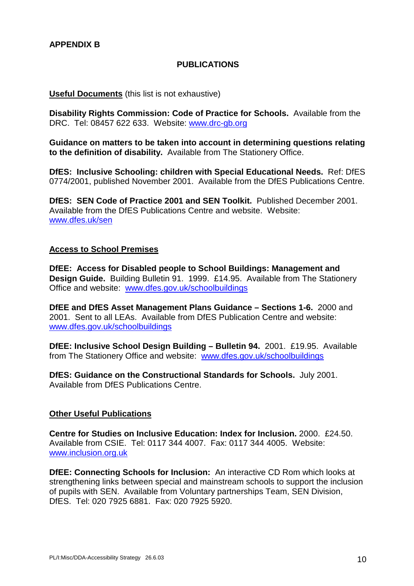### **PUBLICATIONS**

#### **Useful Documents** (this list is not exhaustive)

**Disability Rights Commission: Code of Practice for Schools.** Available from the DRC. Tel: 08457 622 633. Website: [www.drc-gb.org](http://www.drc-gb.org/)

**Guidance on matters to be taken into account in determining questions relating to the definition of disability.** Available from The Stationery Office.

**DfES: Inclusive Schooling: children with Special Educational Needs.** Ref: DfES 0774/2001, published November 2001. Available from the DfES Publications Centre.

**DfES: SEN Code of Practice 2001 and SEN Toolkit.** Published December 2001. Available from the DfES Publications Centre and website. Website: [www.dfes.uk/sen](http://www.dfes.uk/sen)

#### **Access to School Premises**

**DfEE: Access for Disabled people to School Buildings: Management and Design Guide.** Building Bulletin 91. 1999. £14.95. Available from The Stationery Office and website: [www.dfes.gov.uk/schoolbuildings](http://www.dfes.gov.uk/schoolbuildings)

**DfEE and DfES Asset Management Plans Guidance – Sections 1-6.** 2000 and 2001. Sent to all LEAs. Available from DfES Publication Centre and website: [www.dfes.gov.uk/schoolbuildings](http://www.dfes.gov.uk/schoolbuildings)

**DfEE: Inclusive School Design Building – Bulletin 94.** 2001. £19.95. Available from The Stationery Office and website: [www.dfes.gov.uk/schoolbuildings](http://www.dfes.gov.uk/schoolbuildings)

**DfES: Guidance on the Constructional Standards for Schools.** July 2001. Available from DfES Publications Centre.

#### **Other Useful Publications**

**Centre for Studies on Inclusive Education: Index for Inclusion.** 2000. £24.50. Available from CSIE. Tel: 0117 344 4007. Fax: 0117 344 4005. Website: [www.inclusion.org.uk](http://www.inclusion.org.uk/)

**DfEE: Connecting Schools for Inclusion:** An interactive CD Rom which looks at strengthening links between special and mainstream schools to support the inclusion of pupils with SEN. Available from Voluntary partnerships Team, SEN Division, DfES. Tel: 020 7925 6881. Fax: 020 7925 5920.